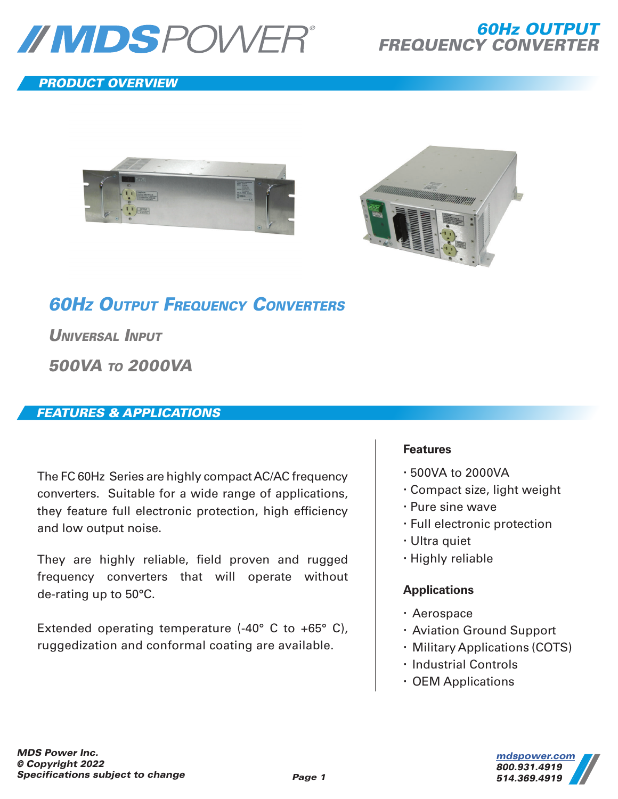

# *PRODUCT OVERVIEW*





# *60HZ OUTPUT FREQUENCY CONVERTERS*

*UNIVERSAL INPUT*

*500VA TO 2000VA*

# *FEATURES & APPLICATIONS*

The FC 60Hz Series are highly compact AC/AC frequency converters. Suitable for a wide range of applications, they feature full electronic protection, high efficiency and low output noise.

They are highly reliable, field proven and rugged frequency converters that will operate without de-rating up to 50°C.

Extended operating temperature (-40° C to +65° C), ruggedization and conformal coating are available.

#### **Features**

- 500VA to 2000VA
- Compact size, light weight
- Pure sine wave
- Full electronic protection
- Ultra quiet
- Highly reliable

## **Applications**

- Aerospace
- Aviation Ground Support
- Military Applications (COTS)
- · Industrial Controls
- OEM Applications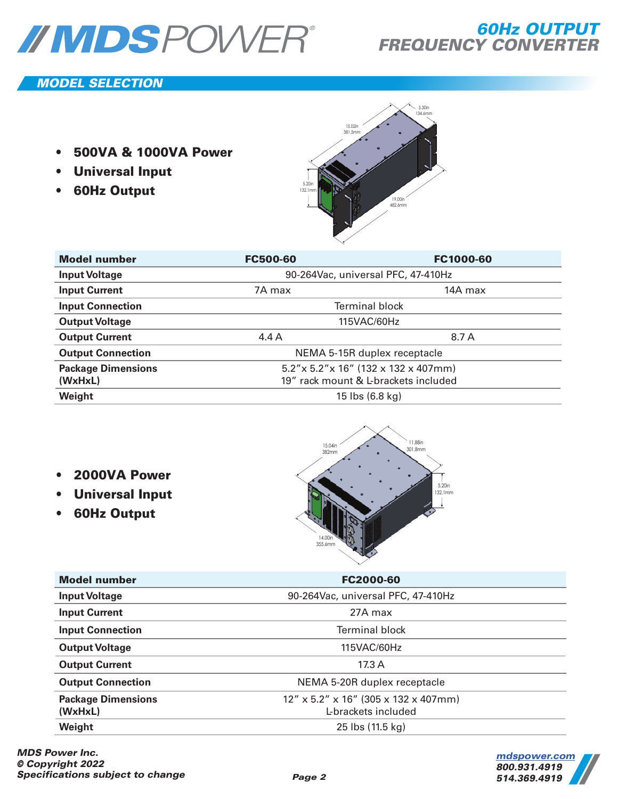

## *MODEL SELECTION*

- **500VA & 1000VA Power**
- **Universal Input**
- **60Hz Output**



| <b>Model number</b>       | <b>FC500-60</b>                         | FC1000-60 |
|---------------------------|-----------------------------------------|-----------|
| <b>Input Voltage</b>      | 90-264Vac, universal PFC, 47-410Hz      |           |
| <b>Input Current</b>      | 7A max                                  | 14A max   |
| <b>Input Connection</b>   | <b>Terminal block</b>                   |           |
| <b>Output Voltage</b>     | 115VAC/60Hz                             |           |
| <b>Output Current</b>     | 4.4A                                    | 8.7 A     |
| <b>Output Connection</b>  | NEMA 5-15R duplex receptacle            |           |
| <b>Package Dimensions</b> | $5.2''$ x 5.2"x 16" (132 x 132 x 407mm) |           |
| (WxHxL)                   | 19" rack mount & L-brackets included    |           |
| Weight                    | 15 lbs (6.8 kg)                         |           |

- **2000VA Power**
- **Universal Input**
- **60Hz Output**



| <b>Model number</b>                  | FC2000-60                                                      |  |
|--------------------------------------|----------------------------------------------------------------|--|
| <b>Input Voltage</b>                 | 90-264Vac, universal PFC, 47-410Hz                             |  |
| <b>Input Current</b>                 | 27A max                                                        |  |
| <b>Input Connection</b>              | <b>Terminal block</b>                                          |  |
| <b>Output Voltage</b>                | 115VAC/60Hz                                                    |  |
| <b>Output Current</b>                | 17.3 A                                                         |  |
| <b>Output Connection</b>             | NEMA 5-20R duplex receptacle                                   |  |
| <b>Package Dimensions</b><br>(WxHxL) | $12''$ x 5.2" x 16" (305 x 132 x 407mm)<br>L-brackets included |  |
| Weight                               | 25 lbs (11.5 kg)                                               |  |